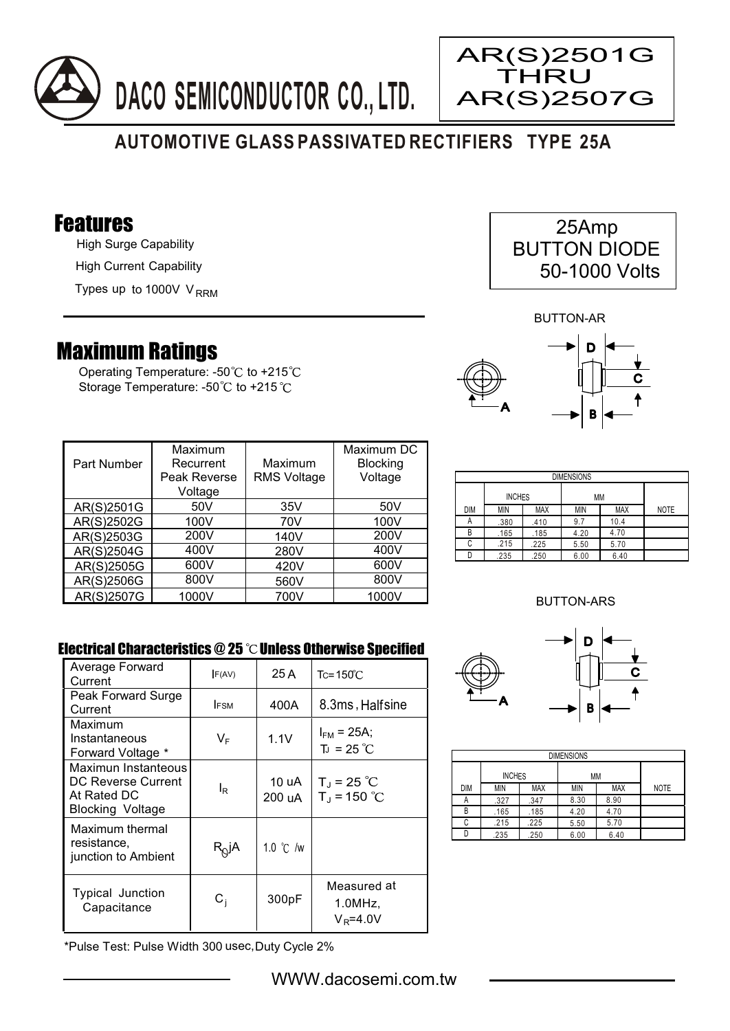



# **AUTOMOTIVE GLASS PASSIVATED RECTIFIERS TYPE 25A**

### Features

High Surge Capability High Current Capability

Types up to 1000V V<sub>RRM</sub>

## Maximum Ratings

Operating Temperature: -50 $\degree$ C to +215 $\degree$ C Storage Temperature: -50°C to +215°C

| 25Amp               |  |
|---------------------|--|
| <b>BUTTON DIODE</b> |  |
| 50-1000 Volts       |  |

BUTTON-AR



| Part Number | Maximum<br>Recurrent<br>Peak Reverse<br>Voltage | Maximum<br><b>RMS Voltage</b> | Maximum DC<br><b>Blocking</b><br>Voltage |
|-------------|-------------------------------------------------|-------------------------------|------------------------------------------|
| AR(S)2501G  | 50 <sub>V</sub>                                 | 35V                           | 50 <sub>V</sub>                          |
| AR(S)2502G  | 100V                                            | 70V                           | 100V                                     |
| AR(S)2503G  | 200V                                            | 140V                          | 200V                                     |
| AR(S)2504G  | 400V                                            | 280V                          | 400V                                     |
| AR(S)2505G  | 600V                                            | 420V                          | 600V                                     |
| AR(S)2506G  | 800V                                            | 560V                          | 800V                                     |
| AR(S)2507G  | 1000V                                           | 700V                          | 1000V                                    |

| <b>DIMENSIONS</b> |            |               |      |            |             |
|-------------------|------------|---------------|------|------------|-------------|
|                   |            | <b>INCHES</b> |      | МM         |             |
| <b>DIM</b>        | <b>MIN</b> | <b>MAX</b>    | MIN  | <b>MAX</b> | <b>NOTE</b> |
| A                 | .380       | .410          | 9.7  | 10.4       |             |
| B                 | .165       | .185          | 4.20 | 4.70       |             |
| C                 | .215       | .225          | 5.50 | 5.70       |             |
|                   | .235       | .250          | 6.00 | 6.40       |             |

### BUTTON-ARS

### Electrical Characteristics  $@25$   $^{\circ}$ C Unless Otherwise Specified

| Average Forward<br>Current                                                   | F(AV)             | 25 A               | $Tc = 150^{\circ}C$                         |
|------------------------------------------------------------------------------|-------------------|--------------------|---------------------------------------------|
| Peak Forward Surge<br>Current                                                | <b>IFSM</b>       | 400A               | 8.3ms, Halfsine                             |
| Maximum<br>Instantaneous<br>Forward Voltage *                                | VF                | 1.1V               | $I_{FM}$ = 25A;<br>$T_1 = 25 °C$            |
| Maximun Instanteous<br>DC Reverse Current<br>At Rated DC<br>Blocking Voltage | l <sub>R</sub>    | 10 uA<br>200 uA    | $T_{\rm J}$ = 25 °C<br>$T_{\rm d}$ = 150 °C |
| Maximum thermal<br>resistance,<br>junction to Ambient                        | R <sub>Q</sub> jA | 1.0 $\degree$ C /w |                                             |
| <b>Typical Junction</b><br>Capacitance                                       | $\mathtt{C_{i}}$  | 300pF              | Measured at<br>1.0MHz<br>$V_R = 4.0V$       |

\*Pulse Test: Pulse Width 300 usec,Duty Cycle 2%



| <b>DIMENSIONS</b> |               |            |            |            |             |  |
|-------------------|---------------|------------|------------|------------|-------------|--|
|                   | <b>INCHES</b> |            | <b>MM</b>  |            |             |  |
| <b>DIM</b>        | <b>MIN</b>    | <b>MAX</b> | <b>MIN</b> | <b>MAX</b> | <b>NOTE</b> |  |
| Α                 | .327          | .347       | 8.30       | 8.90       |             |  |
| B                 | .165          | .185       | 4.20       | 4.70       |             |  |
| C                 | .215          | .225       | 5.50       | 5.70       |             |  |
|                   | .235          | .250       | 6.00       | 6.40       |             |  |